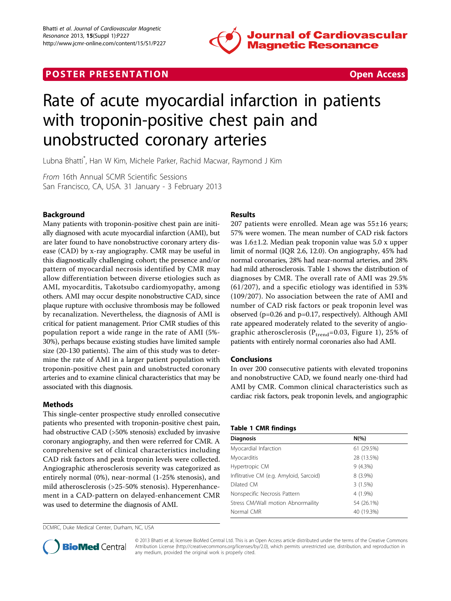





# Rate of acute myocardial infarction in patients with troponin-positive chest pain and unobstructed coronary arteries

Lubna Bhatti\* , Han W Kim, Michele Parker, Rachid Macwar, Raymond J Kim

From 16th Annual SCMR Scientific Sessions San Francisco, CA, USA. 31 January - 3 February 2013

# Background

Many patients with troponin-positive chest pain are initially diagnosed with acute myocardial infarction (AMI), but are later found to have nonobstructive coronary artery disease (CAD) by x-ray angiography. CMR may be useful in this diagnostically challenging cohort; the presence and/or pattern of myocardial necrosis identified by CMR may allow differentiation between diverse etiologies such as AMI, myocarditis, Takotsubo cardiomyopathy, among others. AMI may occur despite nonobstructive CAD, since plaque rupture with occlusive thrombosis may be followed by recanalization. Nevertheless, the diagnosis of AMI is critical for patient management. Prior CMR studies of this population report a wide range in the rate of AMI (5%- 30%), perhaps because existing studies have limited sample size (20-130 patients). The aim of this study was to determine the rate of AMI in a larger patient population with troponin-positive chest pain and unobstructed coronary arteries and to examine clinical characteristics that may be associated with this diagnosis.

## Methods

This single-center prospective study enrolled consecutive patients who presented with troponin-positive chest pain, had obstructive CAD (>50% stenosis) excluded by invasive coronary angiography, and then were referred for CMR. A comprehensive set of clinical characteristics including CAD risk factors and peak troponin levels were collected. Angiographic atherosclerosis severity was categorized as entirely normal (0%), near-normal (1-25% stenosis), and mild atherosclerosis (>25-50% stenosis). Hyperenhancement in a CAD-pattern on delayed-enhancement CMR was used to determine the diagnosis of AMI.

DCMRC, Duke Medical Center, Durham, NC, USA

# Results

207 patients were enrolled. Mean age was  $55\pm16$  years; 57% were women. The mean number of CAD risk factors was 1.6±1.2. Median peak troponin value was 5.0 x upper limit of normal (IQR 2.6, 12.0). On angiography, 45% had normal coronaries, 28% had near-normal arteries, and 28% had mild atherosclerosis. Table 1 shows the distribution of diagnoses by CMR. The overall rate of AMI was 29.5% (61/207), and a specific etiology was identified in 53% (109/207). No association between the rate of AMI and number of CAD risk factors or peak troponin level was observed (p=0.26 and p=0.17, respectively). Although AMI rate appeared moderately related to the severity of angiographic atherosclerosis ( $P_{trend}$ =0.03, Figure [1\)](#page-1-0), 25% of patients with entirely normal coronaries also had AMI.

## Conclusions

In over 200 consecutive patients with elevated troponins and nonobstructive CAD, we found nearly one-third had AMI by CMR. Common clinical characteristics such as cardiac risk factors, peak troponin levels, and angiographic

#### Table 1 CMR findings

| <b>Diagnosis</b>                        | $N(\%)$    |
|-----------------------------------------|------------|
| Myocardial Infarction                   | 61 (29.5%) |
| Myocarditis                             | 28 (13.5%) |
| Hypertropic CM                          | 9(4.3%)    |
| Inflitrative CM (e.g. Amyloid, Sarcoid) | $8(3.9\%)$ |
| Dilated CM                              | 3(1.5%)    |
| Nonspecific Necrosis Pattern            | 4 (1.9%)   |
| Stress CM/Wall motion Abnormaility      | 54 (26.1%) |
| Normal CMR                              | 40 (19.3%) |



© 2013 Bhatti et al; licensee BioMed Central Ltd. This is an Open Access article distributed under the terms of the Creative Commons Attribution License [\(http://creativecommons.org/licenses/by/2.0](http://creativecommons.org/licenses/by/2.0)), which permits unrestricted use, distribution, and reproduction in any medium, provided the original work is properly cited.